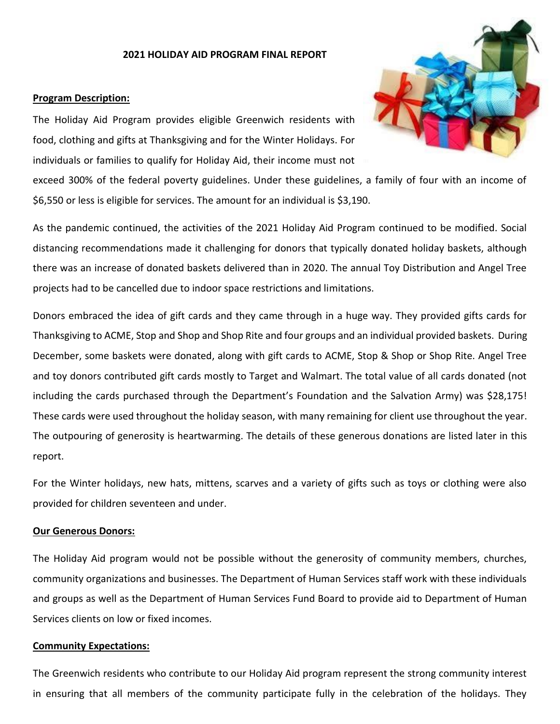#### **2021 HOLIDAY AID PROGRAM FINAL REPORT**

#### **Program Description:**

The Holiday Aid Program provides eligible Greenwich residents with food, clothing and gifts at Thanksgiving and for the Winter Holidays. For individuals or families to qualify for Holiday Aid, their income must not

exceed 300% of the federal poverty guidelines. Under these guidelines, a family of four with an income of \$6,550 or less is eligible for services. The amount for an individual is \$3,190.

As the pandemic continued, the activities of the 2021 Holiday Aid Program continued to be modified. Social distancing recommendations made it challenging for donors that typically donated holiday baskets, although there was an increase of donated baskets delivered than in 2020. The annual Toy Distribution and Angel Tree projects had to be cancelled due to indoor space restrictions and limitations.

Donors embraced the idea of gift cards and they came through in a huge way. They provided gifts cards for Thanksgiving to ACME, Stop and Shop and Shop Rite and four groups and an individual provided baskets. During December, some baskets were donated, along with gift cards to ACME, Stop & Shop or Shop Rite. Angel Tree and toy donors contributed gift cards mostly to Target and Walmart. The total value of all cards donated (not including the cards purchased through the Department's Foundation and the Salvation Army) was \$28,175! These cards were used throughout the holiday season, with many remaining for client use throughout the year. The outpouring of generosity is heartwarming. The details of these generous donations are listed later in this report.

For the Winter holidays, new hats, mittens, scarves and a variety of gifts such as toys or clothing were also provided for children seventeen and under.

## **Our Generous Donors:**

The Holiday Aid program would not be possible without the generosity of community members, churches, community organizations and businesses. The Department of Human Services staff work with these individuals and groups as well as the Department of Human Services Fund Board to provide aid to Department of Human Services clients on low or fixed incomes.

#### **Community Expectations:**

The Greenwich residents who contribute to our Holiday Aid program represent the strong community interest in ensuring that all members of the community participate fully in the celebration of the holidays. They

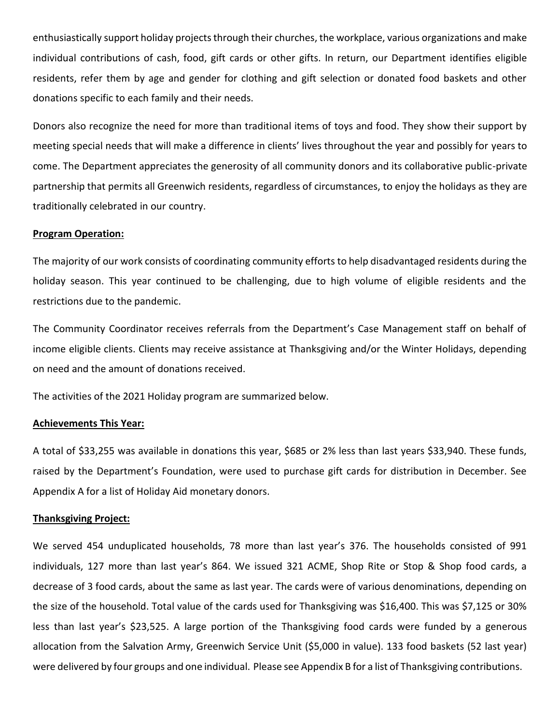enthusiastically support holiday projects through their churches, the workplace, various organizations and make individual contributions of cash, food, gift cards or other gifts. In return, our Department identifies eligible residents, refer them by age and gender for clothing and gift selection or donated food baskets and other donations specific to each family and their needs.

Donors also recognize the need for more than traditional items of toys and food. They show their support by meeting special needs that will make a difference in clients' lives throughout the year and possibly for years to come. The Department appreciates the generosity of all community donors and its collaborative public-private partnership that permits all Greenwich residents, regardless of circumstances, to enjoy the holidays as they are traditionally celebrated in our country.

## **Program Operation:**

The majority of our work consists of coordinating community efforts to help disadvantaged residents during the holiday season. This year continued to be challenging, due to high volume of eligible residents and the restrictions due to the pandemic.

The Community Coordinator receives referrals from the Department's Case Management staff on behalf of income eligible clients. Clients may receive assistance at Thanksgiving and/or the Winter Holidays, depending on need and the amount of donations received.

The activities of the 2021 Holiday program are summarized below.

## **Achievements This Year:**

A total of \$33,255 was available in donations this year, \$685 or 2% less than last years \$33,940. These funds, raised by the Department's Foundation, were used to purchase gift cards for distribution in December. See Appendix A for a list of Holiday Aid monetary donors.

#### **Thanksgiving Project:**

We served 454 unduplicated households, 78 more than last year's 376. The households consisted of 991 individuals, 127 more than last year's 864. We issued 321 ACME, Shop Rite or Stop & Shop food cards, a decrease of 3 food cards, about the same as last year. The cards were of various denominations, depending on the size of the household. Total value of the cards used for Thanksgiving was \$16,400. This was \$7,125 or 30% less than last year's \$23,525. A large portion of the Thanksgiving food cards were funded by a generous allocation from the Salvation Army, Greenwich Service Unit (\$5,000 in value). 133 food baskets (52 last year) were delivered by four groups and one individual. Please see Appendix B for a list of Thanksgiving contributions.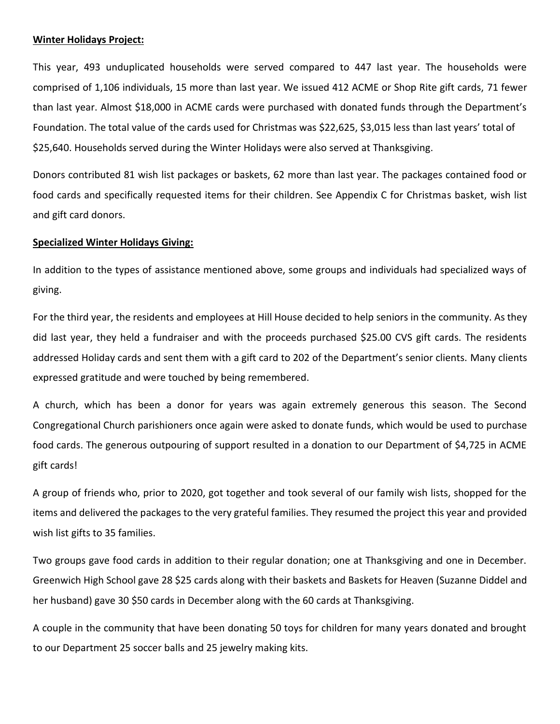### **Winter Holidays Project:**

This year, 493 unduplicated households were served compared to 447 last year. The households were comprised of 1,106 individuals, 15 more than last year. We issued 412 ACME or Shop Rite gift cards, 71 fewer than last year. Almost \$18,000 in ACME cards were purchased with donated funds through the Department's Foundation. The total value of the cards used for Christmas was \$22,625, \$3,015 less than last years' total of \$25,640. Households served during the Winter Holidays were also served at Thanksgiving.

Donors contributed 81 wish list packages or baskets, 62 more than last year. The packages contained food or food cards and specifically requested items for their children. See Appendix C for Christmas basket, wish list and gift card donors.

#### **Specialized Winter Holidays Giving:**

In addition to the types of assistance mentioned above, some groups and individuals had specialized ways of giving.

For the third year, the residents and employees at Hill House decided to help seniors in the community. As they did last year, they held a fundraiser and with the proceeds purchased \$25.00 CVS gift cards. The residents addressed Holiday cards and sent them with a gift card to 202 of the Department's senior clients. Many clients expressed gratitude and were touched by being remembered.

A church, which has been a donor for years was again extremely generous this season. The Second Congregational Church parishioners once again were asked to donate funds, which would be used to purchase food cards. The generous outpouring of support resulted in a donation to our Department of \$4,725 in ACME gift cards!

A group of friends who, prior to 2020, got together and took several of our family wish lists, shopped for the items and delivered the packages to the very grateful families. They resumed the project this year and provided wish list gifts to 35 families.

Two groups gave food cards in addition to their regular donation; one at Thanksgiving and one in December. Greenwich High School gave 28 \$25 cards along with their baskets and Baskets for Heaven (Suzanne Diddel and her husband) gave 30 \$50 cards in December along with the 60 cards at Thanksgiving.

A couple in the community that have been donating 50 toys for children for many years donated and brought to our Department 25 soccer balls and 25 jewelry making kits.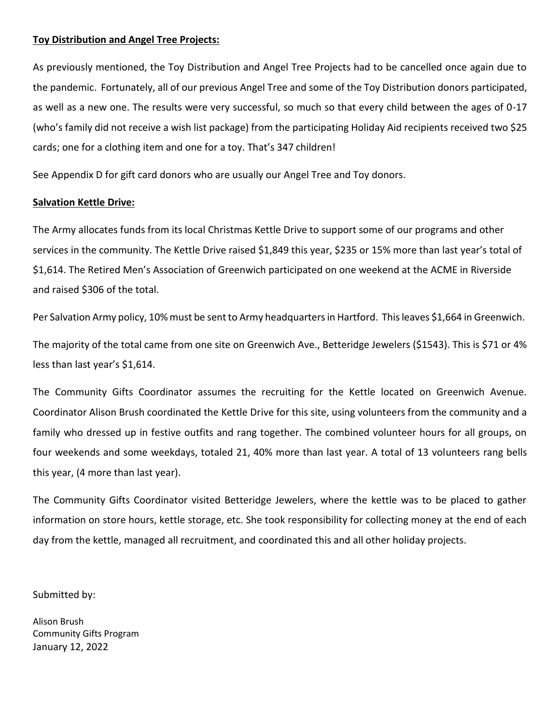## **Toy Distribution and Angel Tree Projects:**

As previously mentioned, the Toy Distribution and Angel Tree Projects had to be cancelled once again due to the pandemic. Fortunately, all of our previous Angel Tree and some of the Toy Distribution donors participated, as well as a new one. The results were very successful, so much so that every child between the ages of 0-17 (who's family did not receive a wish list package) from the participating Holiday Aid recipients received two \$25 cards; one for a clothing item and one for a toy. That's 347 children!

See Appendix D for gift card donors who are usually our Angel Tree and Toy donors.

## **Salvation Kettle Drive:**

The Army allocates funds from its local Christmas Kettle Drive to support some of our programs and other services in the community. The Kettle Drive raised \$1,849 this year, \$235 or 15% more than last year's total of \$1,614. The Retired Men's Association of Greenwich participated on one weekend at the ACME in Riverside and raised \$306 of the total.

Per Salvation Army policy, 10% must be sent to Army headquarters in Hartford. This leaves \$1,664 in Greenwich.

The majority of the total came from one site on Greenwich Ave., Betteridge Jewelers (\$1543). This is \$71 or 4% less than last year's \$1,614.

The Community Gifts Coordinator assumes the recruiting for the Kettle located on Greenwich Avenue. Coordinator Alison Brush coordinated the Kettle Drive for this site, using volunteers from the community and a family who dressed up in festive outfits and rang together. The combined volunteer hours for all groups, on four weekends and some weekdays, totaled 21, 40% more than last year. A total of 13 volunteers rang bells this year, (4 more than last year).

The Community Gifts Coordinator visited Betteridge Jewelers, where the kettle was to be placed to gather information on store hours, kettle storage, etc. She took responsibility for collecting money at the end of each day from the kettle, managed all recruitment, and coordinated this and all other holiday projects.

Submitted by:

Alison Brush Community Gifts Program January 12, 2022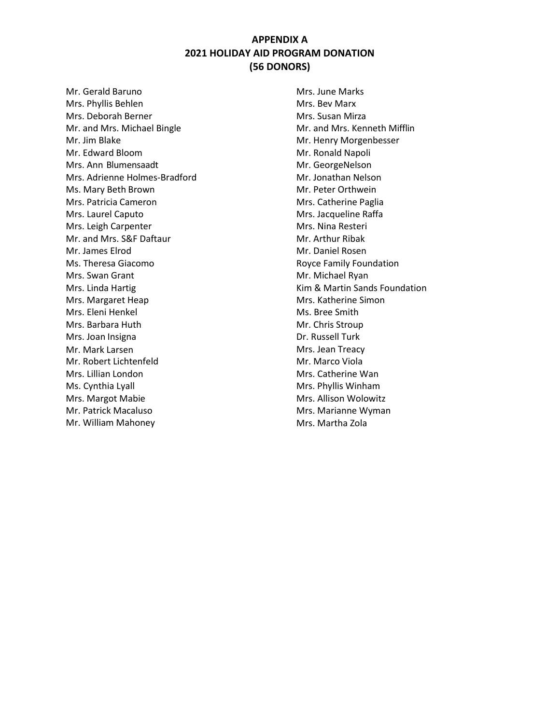## **APPENDIX A 2021 HOLIDAY AID PROGRAM DONATION (56 DONORS)**

Mr. Gerald Baruno Mrs. Phyllis Behlen Mrs. Deborah Berner Mr. and Mrs. Michael Bingle Mr. Jim Blake Mr. Edward Bloom Mrs. Ann Blumensaadt Mrs. Adrienne Holmes-Bradford Ms. Mary Beth Brown Mrs. Patricia Cameron Mrs. Laurel Caputo Mrs. Leigh Carpenter Mr. and Mrs. S&F Daftaur Mr. James Elrod Ms. Theresa Giacomo Mrs. Swan Grant Mrs. Linda Hartig Mrs. Margaret Heap Mrs. Eleni Henkel Mrs. Barbara Huth Mrs. Joan Insigna Mr. Mark Larsen Mr. Robert Lichtenfeld Mrs. Lillian London Ms. Cynthia Lyall Mrs. Margot Mabie Mr. Patrick Macaluso Mr. William Mahoney

Mrs. June Marks Mrs. Bev Marx Mrs. Susan Mirza Mr. and Mrs. Kenneth Mifflin Mr. Henry Morgenbesser Mr. Ronald Napoli Mr. GeorgeNelson Mr. Jonathan Nelson Mr. Peter Orthwein Mrs. Catherine Paglia Mrs. Jacqueline Raffa Mrs. Nina Resteri Mr. Arthur Ribak Mr. Daniel Rosen Royce Family Foundation Mr. Michael Ryan Kim & Martin Sands Foundation Mrs. Katherine Simon Ms. Bree Smith Mr. Chris Stroup Dr. Russell Turk Mrs. Jean Treacy Mr. Marco Viola Mrs. Catherine Wan Mrs. Phyllis Winham Mrs. Allison Wolowitz Mrs. Marianne Wyman Mrs. Martha Zola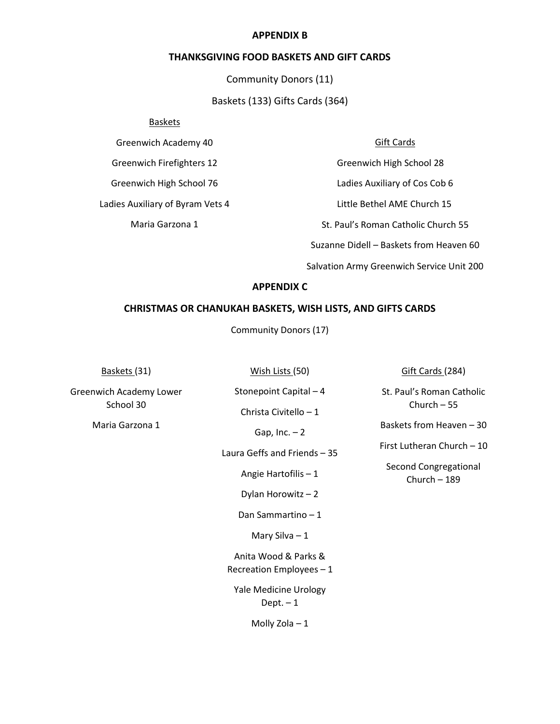#### **APPENDIX B**

### **THANKSGIVING FOOD BASKETS AND GIFT CARDS**

Community Donors (11)

Baskets (133) Gifts Cards (364)

#### Baskets

Greenwich Academy 40

Greenwich Firefighters 12

Greenwich High School 76

Ladies Auxiliary of Byram Vets 4

Maria Garzona 1

## Gift Cards

Greenwich High School 28

Ladies Auxiliary of Cos Cob 6

Little Bethel AME Church 15

St. Paul's Roman Catholic Church 55

Suzanne Didell – Baskets from Heaven 60

Salvation Army Greenwich Service Unit 200

### **APPENDIX C**

## **CHRISTMAS OR CHANUKAH BASKETS, WISH LISTS, AND GIFTS CARDS**

Community Donors (17)

Stonepoint Capital – 4

Christa Civitello – 1

Baskets (31) **Mish Lists (50)** Gift Cards (284)

St. Paul's Roman Catholic Church – 55

Baskets from Heaven – 30

First Lutheran Church – 10

Second Congregational Church – 189

Greenwich Academy Lower School 30

Maria Garzona 1

Gap,  $Inc. - 2$ 

Laura Geffs and Friends – 35

Angie Hartofilis – 1

Dylan Horowitz – 2

Dan Sammartino – 1

Mary Silva – 1

Anita Wood & Parks & Recreation Employees – 1

Yale Medicine Urology Dept.  $-1$ 

Molly Zola – 1